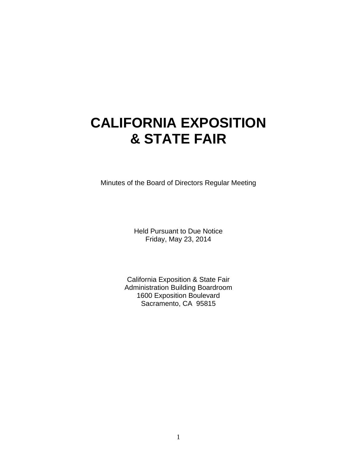# **CALIFORNIA EXPOSITION & STATE FAIR**

Minutes of the Board of Directors Regular Meeting

Held Pursuant to Due Notice Friday, May 23, 2014

California Exposition & State Fair Administration Building Boardroom 1600 Exposition Boulevard Sacramento, CA 95815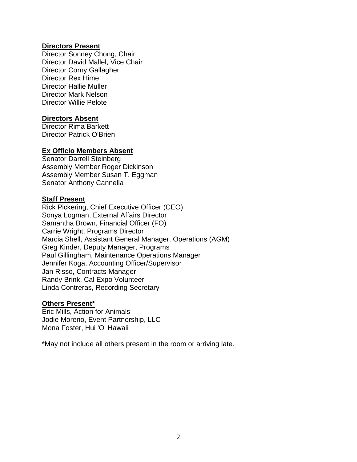#### **Directors Present**

Director Sonney Chong, Chair Director David Mallel, Vice Chair Director Corny Gallagher Director Rex Hime Director Hallie Muller Director Mark Nelson Director Willie Pelote

#### **Directors Absent**

Director Rima Barkett Director Patrick O'Brien

#### **Ex Officio Members Absent**

Senator Darrell Steinberg Assembly Member Roger Dickinson Assembly Member Susan T. Eggman Senator Anthony Cannella

#### **Staff Present**

Rick Pickering, Chief Executive Officer (CEO) Sonya Logman, External Affairs Director Samantha Brown, Financial Officer (FO) Carrie Wright, Programs Director Marcia Shell, Assistant General Manager, Operations (AGM) Greg Kinder, Deputy Manager, Programs Paul Gillingham, Maintenance Operations Manager Jennifer Koga, Accounting Officer/Supervisor Jan Risso, Contracts Manager Randy Brink, Cal Expo Volunteer Linda Contreras, Recording Secretary

#### **Others Present\***

Eric Mills, Action for Animals Jodie Moreno, Event Partnership, LLC Mona Foster, Hui 'O' Hawaii

\*May not include all others present in the room or arriving late.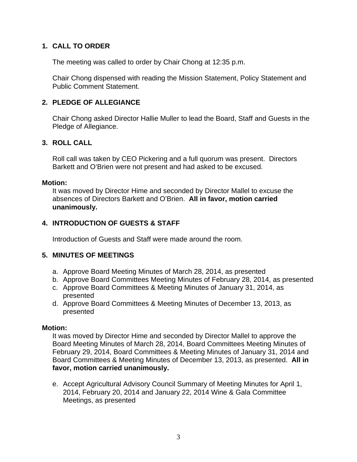# **1. CALL TO ORDER**

The meeting was called to order by Chair Chong at 12:35 p.m.

Chair Chong dispensed with reading the Mission Statement, Policy Statement and Public Comment Statement.

# **2. PLEDGE OF ALLEGIANCE**

Chair Chong asked Director Hallie Muller to lead the Board, Staff and Guests in the Pledge of Allegiance.

### **3. ROLL CALL**

Roll call was taken by CEO Pickering and a full quorum was present. Directors Barkett and O'Brien were not present and had asked to be excused.

#### **Motion:**

It was moved by Director Hime and seconded by Director Mallel to excuse the absences of Directors Barkett and O'Brien. **All in favor, motion carried unanimously.**

# **4. INTRODUCTION OF GUESTS & STAFF**

Introduction of Guests and Staff were made around the room.

### **5. MINUTES OF MEETINGS**

- a. Approve Board Meeting Minutes of March 28, 2014, as presented
- b. Approve Board Committees Meeting Minutes of February 28, 2014, as presented
- c. Approve Board Committees & Meeting Minutes of January 31, 2014, as presented
- d. Approve Board Committees & Meeting Minutes of December 13, 2013, as presented

#### **Motion:**

It was moved by Director Hime and seconded by Director Mallel to approve the Board Meeting Minutes of March 28, 2014, Board Committees Meeting Minutes of February 29, 2014, Board Committees & Meeting Minutes of January 31, 2014 and Board Committees & Meeting Minutes of December 13, 2013, as presented. **All in favor, motion carried unanimously.** 

e. Accept Agricultural Advisory Council Summary of Meeting Minutes for April 1, 2014, February 20, 2014 and January 22, 2014 Wine & Gala Committee Meetings, as presented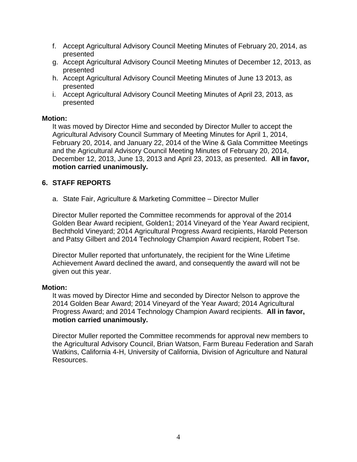- f. Accept Agricultural Advisory Council Meeting Minutes of February 20, 2014, as presented
- g. Accept Agricultural Advisory Council Meeting Minutes of December 12, 2013, as presented
- h. Accept Agricultural Advisory Council Meeting Minutes of June 13 2013, as presented
- i. Accept Agricultural Advisory Council Meeting Minutes of April 23, 2013, as presented

It was moved by Director Hime and seconded by Director Muller to accept the Agricultural Advisory Council Summary of Meeting Minutes for April 1, 2014, February 20, 2014, and January 22, 2014 of the Wine & Gala Committee Meetings and the Agricultural Advisory Council Meeting Minutes of February 20, 2014, December 12, 2013, June 13, 2013 and April 23, 2013, as presented. **All in favor, motion carried unanimously.** 

### **6. STAFF REPORTS**

a. State Fair, Agriculture & Marketing Committee – Director Muller

Director Muller reported the Committee recommends for approval of the 2014 Golden Bear Award recipient, Golden1; 2014 Vineyard of the Year Award recipient, Bechthold Vineyard; 2014 Agricultural Progress Award recipients, Harold Peterson and Patsy Gilbert and 2014 Technology Champion Award recipient, Robert Tse.

Director Muller reported that unfortunately, the recipient for the Wine Lifetime Achievement Award declined the award, and consequently the award will not be given out this year.

#### **Motion:**

It was moved by Director Hime and seconded by Director Nelson to approve the 2014 Golden Bear Award; 2014 Vineyard of the Year Award; 2014 Agricultural Progress Award; and 2014 Technology Champion Award recipients. **All in favor, motion carried unanimously.** 

Director Muller reported the Committee recommends for approval new members to the Agricultural Advisory Council, Brian Watson, Farm Bureau Federation and Sarah Watkins, California 4-H, University of California, Division of Agriculture and Natural Resources.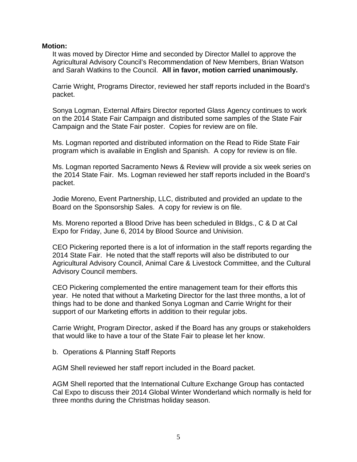It was moved by Director Hime and seconded by Director Mallel to approve the Agricultural Advisory Council's Recommendation of New Members, Brian Watson and Sarah Watkins to the Council. **All in favor, motion carried unanimously.** 

Carrie Wright, Programs Director, reviewed her staff reports included in the Board's packet.

Sonya Logman, External Affairs Director reported Glass Agency continues to work on the 2014 State Fair Campaign and distributed some samples of the State Fair Campaign and the State Fair poster. Copies for review are on file.

Ms. Logman reported and distributed information on the Read to Ride State Fair program which is available in English and Spanish. A copy for review is on file.

Ms. Logman reported Sacramento News & Review will provide a six week series on the 2014 State Fair. Ms. Logman reviewed her staff reports included in the Board's packet.

Jodie Moreno, Event Partnership, LLC, distributed and provided an update to the Board on the Sponsorship Sales. A copy for review is on file.

Ms. Moreno reported a Blood Drive has been scheduled in Bldgs., C & D at Cal Expo for Friday, June 6, 2014 by Blood Source and Univision.

CEO Pickering reported there is a lot of information in the staff reports regarding the 2014 State Fair. He noted that the staff reports will also be distributed to our Agricultural Advisory Council, Animal Care & Livestock Committee, and the Cultural Advisory Council members.

CEO Pickering complemented the entire management team for their efforts this year. He noted that without a Marketing Director for the last three months, a lot of things had to be done and thanked Sonya Logman and Carrie Wright for their support of our Marketing efforts in addition to their regular jobs.

Carrie Wright, Program Director, asked if the Board has any groups or stakeholders that would like to have a tour of the State Fair to please let her know.

b. Operations & Planning Staff Reports

AGM Shell reviewed her staff report included in the Board packet.

AGM Shell reported that the International Culture Exchange Group has contacted Cal Expo to discuss their 2014 Global Winter Wonderland which normally is held for three months during the Christmas holiday season.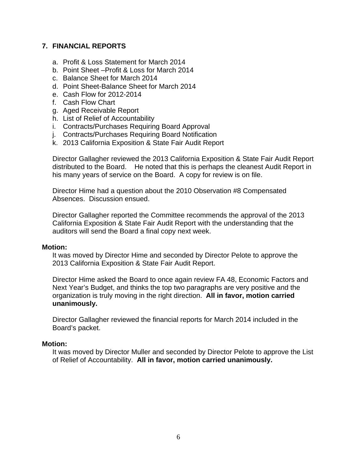# **7. FINANCIAL REPORTS**

- a. Profit & Loss Statement for March 2014
- b. Point Sheet –Profit & Loss for March 2014
- c. Balance Sheet for March 2014
- d. Point Sheet-Balance Sheet for March 2014
- e. Cash Flow for 2012-2014
- f. Cash Flow Chart
- g. Aged Receivable Report
- h. List of Relief of Accountability
- i. Contracts/Purchases Requiring Board Approval
- j. Contracts/Purchases Requiring Board Notification
- k. 2013 California Exposition & State Fair Audit Report

Director Gallagher reviewed the 2013 California Exposition & State Fair Audit Report distributed to the Board. He noted that this is perhaps the cleanest Audit Report in his many years of service on the Board. A copy for review is on file.

Director Hime had a question about the 2010 Observation #8 Compensated Absences. Discussion ensued.

Director Gallagher reported the Committee recommends the approval of the 2013 California Exposition & State Fair Audit Report with the understanding that the auditors will send the Board a final copy next week.

#### **Motion:**

It was moved by Director Hime and seconded by Director Pelote to approve the 2013 California Exposition & State Fair Audit Report.

Director Hime asked the Board to once again review FA 48, Economic Factors and Next Year's Budget, and thinks the top two paragraphs are very positive and the organization is truly moving in the right direction. **All in favor, motion carried unanimously.** 

Director Gallagher reviewed the financial reports for March 2014 included in the Board's packet.

#### **Motion:**

It was moved by Director Muller and seconded by Director Pelote to approve the List of Relief of Accountability. **All in favor, motion carried unanimously.**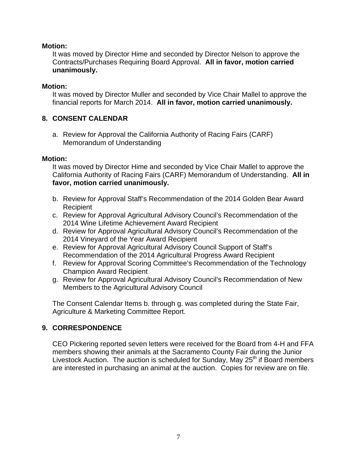It was moved by Director Hime and seconded by Director Nelson to approve the Contracts/Purchases Requiring Board Approval. **All in favor, motion carried unanimously.** 

# **Motion:**

It was moved by Director Muller and seconded by Vice Chair Mallel to approve the financial reports for March 2014. **All in favor, motion carried unanimously.** 

# **8. CONSENT CALENDAR**

a. Review for Approval the California Authority of Racing Fairs (CARF) Memorandum of Understanding

# **Motion:**

It was moved by Director Hime and seconded by Vice Chair Mallel to approve the California Authority of Racing Fairs (CARF) Memorandum of Understanding. **All in favor, motion carried unanimously.** 

- b. Review for Approval Staff's Recommendation of the 2014 Golden Bear Award **Recipient**
- c. Review for Approval Agricultural Advisory Council's Recommendation of the 2014 Wine Lifetime Achievement Award Recipient
- d. Review for Approval Agricultural Advisory Council's Recommendation of the 2014 Vineyard of the Year Award Recipient
- e. Review for Approval Agricultural Advisory Council Support of Staff's Recommendation of the 2014 Agricultural Progress Award Recipient
- f. Review for Approval Scoring Committee's Recommendation of the Technology Champion Award Recipient
- g. Review for Approval Agricultural Advisory Council's Recommendation of New Members to the Agricultural Advisory Council

The Consent Calendar Items b. through g. was completed during the State Fair, Agriculture & Marketing Committee Report.

# **9. CORRESPONDENCE**

CEO Pickering reported seven letters were received for the Board from 4-H and FFA members showing their animals at the Sacramento County Fair during the Junior Livestock Auction. The auction is scheduled for Sunday, May  $25<sup>th</sup>$  if Board members are interested in purchasing an animal at the auction. Copies for review are on file.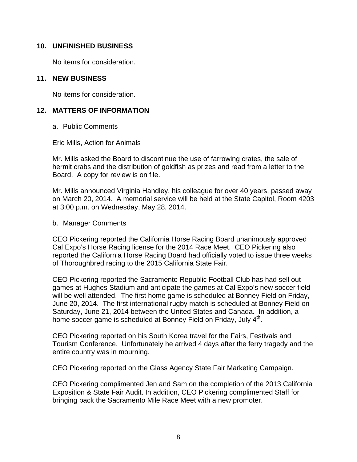#### **10. UNFINISHED BUSINESS**

No items for consideration.

#### **11. NEW BUSINESS**

No items for consideration.

### **12. MATTERS OF INFORMATION**

a. Public Comments

#### Eric Mills, Action for Animals

Mr. Mills asked the Board to discontinue the use of farrowing crates, the sale of hermit crabs and the distribution of goldfish as prizes and read from a letter to the Board. A copy for review is on file.

Mr. Mills announced Virginia Handley, his colleague for over 40 years, passed away on March 20, 2014. A memorial service will be held at the State Capitol, Room 4203 at 3:00 p.m. on Wednesday, May 28, 2014.

#### b. Manager Comments

CEO Pickering reported the California Horse Racing Board unanimously approved Cal Expo's Horse Racing license for the 2014 Race Meet. CEO Pickering also reported the California Horse Racing Board had officially voted to issue three weeks of Thoroughbred racing to the 2015 California State Fair.

CEO Pickering reported the Sacramento Republic Football Club has had sell out games at Hughes Stadium and anticipate the games at Cal Expo's new soccer field will be well attended. The first home game is scheduled at Bonney Field on Friday, June 20, 2014. The first international rugby match is scheduled at Bonney Field on Saturday, June 21, 2014 between the United States and Canada. In addition, a home soccer game is scheduled at Bonney Field on Friday, July 4<sup>th</sup>.

CEO Pickering reported on his South Korea travel for the Fairs, Festivals and Tourism Conference. Unfortunately he arrived 4 days after the ferry tragedy and the entire country was in mourning.

CEO Pickering reported on the Glass Agency State Fair Marketing Campaign.

CEO Pickering complimented Jen and Sam on the completion of the 2013 California Exposition & State Fair Audit. In addition, CEO Pickering complimented Staff for bringing back the Sacramento Mile Race Meet with a new promoter.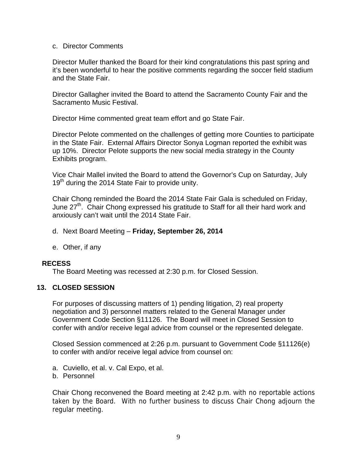#### c. Director Comments

Director Muller thanked the Board for their kind congratulations this past spring and it's been wonderful to hear the positive comments regarding the soccer field stadium and the State Fair.

Director Gallagher invited the Board to attend the Sacramento County Fair and the Sacramento Music Festival.

Director Hime commented great team effort and go State Fair.

Director Pelote commented on the challenges of getting more Counties to participate in the State Fair. External Affairs Director Sonya Logman reported the exhibit was up 10%. Director Pelote supports the new social media strategy in the County Exhibits program.

Vice Chair Mallel invited the Board to attend the Governor's Cup on Saturday, July  $19<sup>th</sup>$  during the 2014 State Fair to provide unity.

Chair Chong reminded the Board the 2014 State Fair Gala is scheduled on Friday, June 27<sup>th</sup>. Chair Chong expressed his gratitude to Staff for all their hard work and anxiously can't wait until the 2014 State Fair.

- d. Next Board Meeting **Friday, September 26, 2014**
- e. Other, if any

### **RECESS**

The Board Meeting was recessed at 2:30 p.m. for Closed Session.

### **13. CLOSED SESSION**

For purposes of discussing matters of 1) pending litigation, 2) real property negotiation and 3) personnel matters related to the General Manager under Government Code Section §11126. The Board will meet in Closed Session to confer with and/or receive legal advice from counsel or the represented delegate.

Closed Session commenced at 2:26 p.m. pursuant to Government Code §11126(e) to confer with and/or receive legal advice from counsel on:

- a. Cuviello, et al. v. Cal Expo, et al.
- b. Personnel

Chair Chong reconvened the Board meeting at 2:42 p.m. with no reportable actions taken by the Board. With no further business to discuss Chair Chong adjourn the regular meeting.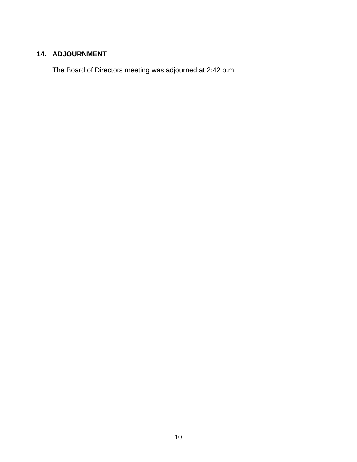# **14. ADJOURNMENT**

The Board of Directors meeting was adjourned at 2:42 p.m.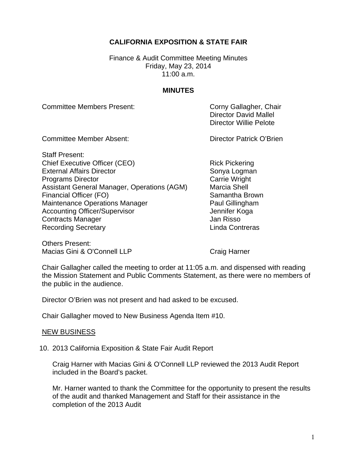# **CALIFORNIA EXPOSITION & STATE FAIR**

Finance & Audit Committee Meeting Minutes Friday, May 23, 2014  $11:00$  a.m.

#### **MINUTES**

Committee Members Present: Committee Members Present:

 Director David Mallel Director Willie Pelote

Committee Member Absent: Committee Member Absent: Director Patrick O'Brien

Staff Present: Chief Executive Officer (CEO) <br>
External Affairs Director 
Rick Pickering<br>
Sonya Loqman External Affairs Director Programs Director **Carrie Wright** Carrie Wright Assistant General Manager, Operations (AGM) Marcia Shell Financial Officer (FO) Samantha Brown Maintenance Operations Manager **Paul Gillingham** Accounting Officer/Supervisor **Accounting Officer/Supervisor** Jennifer Koga **Contracts Manager Contracts Manager** Jan Risso Recording Secretary **Linda Contreras** 

Others Present: Macias Gini & O'Connell LLP Craig Harner

Chair Gallagher called the meeting to order at 11:05 a.m. and dispensed with reading the Mission Statement and Public Comments Statement, as there were no members of the public in the audience.

Director O'Brien was not present and had asked to be excused.

Chair Gallagher moved to New Business Agenda Item #10.

#### NEW BUSINESS

10. 2013 California Exposition & State Fair Audit Report

Craig Harner with Macias Gini & O'Connell LLP reviewed the 2013 Audit Report included in the Board's packet.

Mr. Harner wanted to thank the Committee for the opportunity to present the results of the audit and thanked Management and Staff for their assistance in the completion of the 2013 Audit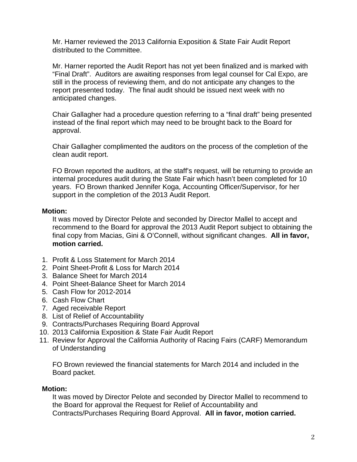Mr. Harner reviewed the 2013 California Exposition & State Fair Audit Report distributed to the Committee.

Mr. Harner reported the Audit Report has not yet been finalized and is marked with "Final Draft". Auditors are awaiting responses from legal counsel for Cal Expo, are still in the process of reviewing them, and do not anticipate any changes to the report presented today. The final audit should be issued next week with no anticipated changes.

Chair Gallagher had a procedure question referring to a "final draft" being presented instead of the final report which may need to be brought back to the Board for approval.

Chair Gallagher complimented the auditors on the process of the completion of the clean audit report.

FO Brown reported the auditors, at the staff's request, will be returning to provide an internal procedures audit during the State Fair which hasn't been completed for 10 years. FO Brown thanked Jennifer Koga, Accounting Officer/Supervisor, for her support in the completion of the 2013 Audit Report.

### **Motion:**

It was moved by Director Pelote and seconded by Director Mallel to accept and recommend to the Board for approval the 2013 Audit Report subject to obtaining the final copy from Macias, Gini & O'Connell, without significant changes. **All in favor, motion carried.** 

- 1. Profit & Loss Statement for March 2014
- 2. Point Sheet-Profit & Loss for March 2014
- 3. Balance Sheet for March 2014
- 4. Point Sheet-Balance Sheet for March 2014
- 5. Cash Flow for 2012-2014
- 6. Cash Flow Chart
- 7. Aged receivable Report
- 8. List of Relief of Accountability
- 9. Contracts/Purchases Requiring Board Approval
- 10. 2013 California Exposition & State Fair Audit Report
- 11. Review for Approval the California Authority of Racing Fairs (CARF) Memorandum of Understanding

FO Brown reviewed the financial statements for March 2014 and included in the Board packet.

### **Motion:**

It was moved by Director Pelote and seconded by Director Mallel to recommend to the Board for approval the Request for Relief of Accountability and Contracts/Purchases Requiring Board Approval. **All in favor, motion carried.**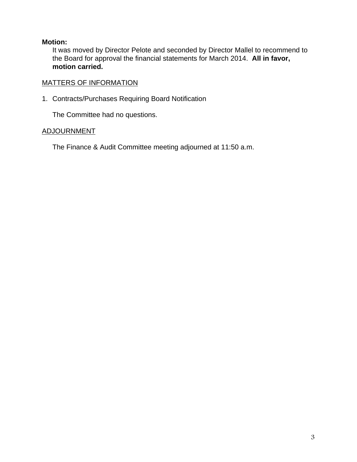It was moved by Director Pelote and seconded by Director Mallel to recommend to the Board for approval the financial statements for March 2014. **All in favor, motion carried.** 

# MATTERS OF INFORMATION

1. Contracts/Purchases Requiring Board Notification

The Committee had no questions.

# ADJOURNMENT

The Finance & Audit Committee meeting adjourned at 11:50 a.m.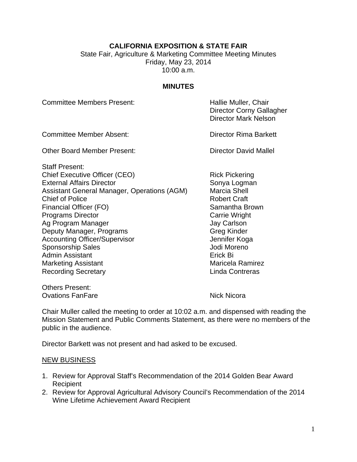# **CALIFORNIA EXPOSITION & STATE FAIR**

State Fair, Agriculture & Marketing Committee Meeting Minutes Friday, May 23, 2014 10:00 a.m.

#### **MINUTES**

Committee Members Present: The Muller Hallie Muller, Chair

 Director Corny Gallagher Director Mark Nelson

Committee Member Absent: Director Rima Barkett

Other Board Member Present: Charles Communist Chevrolet Director David Mallel

Staff Present: Chief Executive Officer (CEO) Rick Pickering External Affairs Director<br>
Assistant General Manager, Operations (AGM) Marcia Shell Assistant General Manager, Operations (AGM) **Chief of Police Changes Chief Craft** Financial Officer (FO) Samantha Brown **Programs Director** Carrie Wright Ag Program Manager **Jay Carlson** Deputy Manager, Programs Greg Kinder Accounting Officer/Supervisor **Accounting Officer/Supervisor** Jennifer Koga Sponsorship Sales **Sponsorship Sales** Jodi Moreno Admin Assistant **Existence** Erick Bi Marketing Assistant Marketing Assistant Marketing Assistant Recording Secretary **Linda Contreras** 

Others Present:

Ovations FanFare Nick Nicora

Chair Muller called the meeting to order at 10:02 a.m. and dispensed with reading the Mission Statement and Public Comments Statement, as there were no members of the public in the audience.

Director Barkett was not present and had asked to be excused.

#### NEW BUSINESS

- 1. Review for Approval Staff's Recommendation of the 2014 Golden Bear Award Recipient
- 2. Review for Approval Agricultural Advisory Council's Recommendation of the 2014 Wine Lifetime Achievement Award Recipient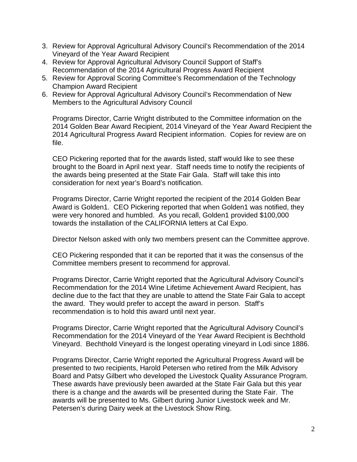- 3. Review for Approval Agricultural Advisory Council's Recommendation of the 2014 Vineyard of the Year Award Recipient
- 4. Review for Approval Agricultural Advisory Council Support of Staff's Recommendation of the 2014 Agricultural Progress Award Recipient
- 5. Review for Approval Scoring Committee's Recommendation of the Technology Champion Award Recipient
- 6. Review for Approval Agricultural Advisory Council's Recommendation of New Members to the Agricultural Advisory Council

Programs Director, Carrie Wright distributed to the Committee information on the 2014 Golden Bear Award Recipient, 2014 Vineyard of the Year Award Recipient the 2014 Agricultural Progress Award Recipient information. Copies for review are on file.

CEO Pickering reported that for the awards listed, staff would like to see these brought to the Board in April next year. Staff needs time to notify the recipients of the awards being presented at the State Fair Gala. Staff will take this into consideration for next year's Board's notification.

Programs Director, Carrie Wright reported the recipient of the 2014 Golden Bear Award is Golden1. CEO Pickering reported that when Golden1 was notified, they were very honored and humbled. As you recall, Golden1 provided \$100,000 towards the installation of the CALIFORNIA letters at Cal Expo.

Director Nelson asked with only two members present can the Committee approve.

CEO Pickering responded that it can be reported that it was the consensus of the Committee members present to recommend for approval.

Programs Director, Carrie Wright reported that the Agricultural Advisory Council's Recommendation for the 2014 Wine Lifetime Achievement Award Recipient, has decline due to the fact that they are unable to attend the State Fair Gala to accept the award. They would prefer to accept the award in person. Staff's recommendation is to hold this award until next year.

Programs Director, Carrie Wright reported that the Agricultural Advisory Council's Recommendation for the 2014 Vineyard of the Year Award Recipient is Bechthold Vineyard. Bechthold Vineyard is the longest operating vineyard in Lodi since 1886.

Programs Director, Carrie Wright reported the Agricultural Progress Award will be presented to two recipients, Harold Petersen who retired from the Milk Advisory Board and Patsy Gilbert who developed the Livestock Quality Assurance Program. These awards have previously been awarded at the State Fair Gala but this year there is a change and the awards will be presented during the State Fair. The awards will be presented to Ms. Gilbert during Junior Livestock week and Mr. Petersen's during Dairy week at the Livestock Show Ring.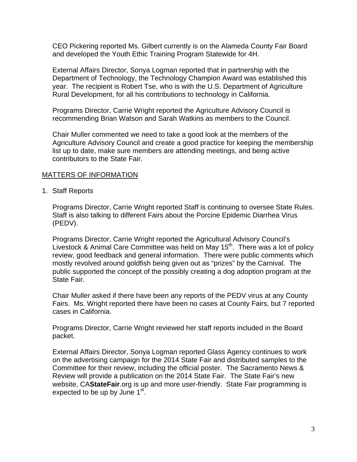CEO Pickering reported Ms. Gilbert currently is on the Alameda County Fair Board and developed the Youth Ethic Training Program Statewide for 4H.

External Affairs Director, Sonya Logman reported that in partnership with the Department of Technology, the Technology Champion Award was established this year. The recipient is Robert Tse, who is with the U.S. Department of Agriculture Rural Development, for all his contributions to technology in California.

Programs Director, Carrie Wright reported the Agriculture Advisory Council is recommending Brian Watson and Sarah Watkins as members to the Council.

Chair Muller commented we need to take a good look at the members of the Agriculture Advisory Council and create a good practice for keeping the membership list up to date, make sure members are attending meetings, and being active contributors to the State Fair.

#### MATTERS OF INFORMATION

1. Staff Reports

Programs Director, Carrie Wright reported Staff is continuing to oversee State Rules. Staff is also talking to different Fairs about the Porcine Epidemic Diarrhea Virus (PEDV).

Programs Director, Carrie Wright reported the Agricultural Advisory Council's Livestock & Animal Care Committee was held on May 15<sup>th</sup>. There was a lot of policy review, good feedback and general information. There were public comments which mostly revolved around goldfish being given out as "prizes" by the Carnival. The public supported the concept of the possibly creating a dog adoption program at the State Fair.

Chair Muller asked if there have been any reports of the PEDV virus at any County Fairs. Ms. Wright reported there have been no cases at County Fairs, but 7 reported cases in California.

Programs Director, Carrie Wright reviewed her staff reports included in the Board packet.

External Affairs Director, Sonya Logman reported Glass Agency continues to work on the advertising campaign for the 2014 State Fair and distributed samples to the Committee for their review, including the official poster. The Sacramento News & Review will provide a publication on the 2014 State Fair. The State Fair's new website, CA**StateFair**.org is up and more user-friendly. State Fair programming is expected to be up by June  $1<sup>st</sup>$ .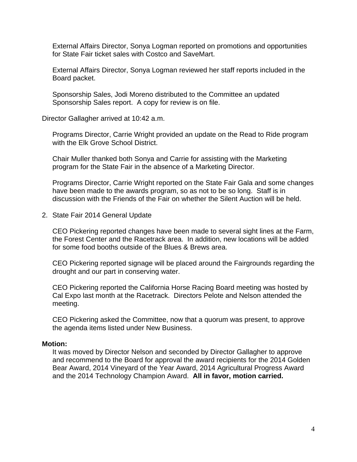External Affairs Director, Sonya Logman reported on promotions and opportunities for State Fair ticket sales with Costco and SaveMart.

External Affairs Director, Sonya Logman reviewed her staff reports included in the Board packet.

Sponsorship Sales, Jodi Moreno distributed to the Committee an updated Sponsorship Sales report. A copy for review is on file.

Director Gallagher arrived at 10:42 a.m.

Programs Director, Carrie Wright provided an update on the Read to Ride program with the Elk Grove School District.

Chair Muller thanked both Sonya and Carrie for assisting with the Marketing program for the State Fair in the absence of a Marketing Director.

Programs Director, Carrie Wright reported on the State Fair Gala and some changes have been made to the awards program, so as not to be so long. Staff is in discussion with the Friends of the Fair on whether the Silent Auction will be held.

2. State Fair 2014 General Update

CEO Pickering reported changes have been made to several sight lines at the Farm, the Forest Center and the Racetrack area. In addition, new locations will be added for some food booths outside of the Blues & Brews area.

CEO Pickering reported signage will be placed around the Fairgrounds regarding the drought and our part in conserving water.

CEO Pickering reported the California Horse Racing Board meeting was hosted by Cal Expo last month at the Racetrack. Directors Pelote and Nelson attended the meeting.

CEO Pickering asked the Committee, now that a quorum was present, to approve the agenda items listed under New Business.

#### **Motion:**

It was moved by Director Nelson and seconded by Director Gallagher to approve and recommend to the Board for approval the award recipients for the 2014 Golden Bear Award, 2014 Vineyard of the Year Award, 2014 Agricultural Progress Award and the 2014 Technology Champion Award. **All in favor, motion carried.**